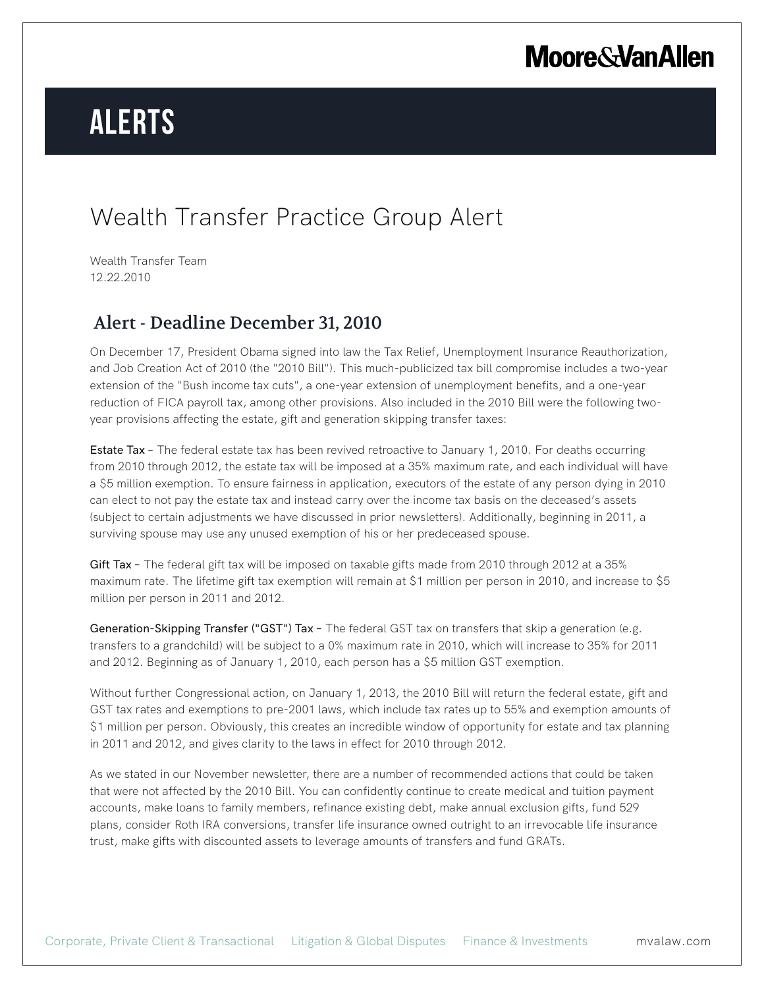## **Moore & Van Allen**

# **Alerts**

### Wealth Transfer Practice Group Alert

Wealth Transfer Team 12.22.2010

### Alert - Deadline December 31, 2010

On December 17, President Obama signed into law the Tax Relief, Unemployment Insurance Reauthorization, and Job Creation Act of 2010 (the "2010 Bill"). This much-publicized tax bill compromise includes a two-year extension of the "Bush income tax cuts", a one-year extension of unemployment benefits, and a one-year reduction of FICA payroll tax, among other provisions. Also included in the 2010 Bill were the following twoyear provisions affecting the estate, gift and generation skipping transfer taxes:

**Estate Tax** – The federal estate tax has been revived retroactive to January 1, 2010. For deaths occurring from 2010 through 2012, the estate tax will be imposed at a 35% maximum rate, and each individual will have a \$5 million exemption. To ensure fairness in application, executors of the estate of any person dying in 2010 can elect to not pay the estate tax and instead carry over the income tax basis on the deceased's assets (subject to certain adjustments we have discussed in prior newsletters). Additionally, beginning in 2011, a surviving spouse may use any unused exemption of his or her predeceased spouse.

Gift Tax - The federal gift tax will be imposed on taxable gifts made from 2010 through 2012 at a 35% maximum rate. The lifetime gift tax exemption will remain at \$1 million per person in 2010, and increase to \$5 million per person in 2011 and 2012.

Generation-Skipping Transfer ("GST") Tax – The federal GST tax on transfers that skip a generation (e.g. transfers to a grandchild) will be subject to a 0% maximum rate in 2010, which will increase to 35% for 2011 and 2012. Beginning as of January 1, 2010, each person has a \$5 million GST exemption.

Without further Congressional action, on January 1, 2013, the 2010 Bill will return the federal estate, gift and GST tax rates and exemptions to pre-2001 laws, which include tax rates up to 55% and exemption amounts of \$1 million per person. Obviously, this creates an incredible window of opportunity for estate and tax planning in 2011 and 2012, and gives clarity to the laws in effect for 2010 through 2012.

As we stated in our November newsletter, there are a number of recommended actions that could be taken that were not affected by the 2010 Bill. You can confidently continue to create medical and tuition payment accounts, make loans to family members, refinance existing debt, make annual exclusion gifts, fund 529 plans, consider Roth IRA conversions, transfer life insurance owned outright to an irrevocable life insurance trust, make gifts with discounted assets to leverage amounts of transfers and fund GRATs.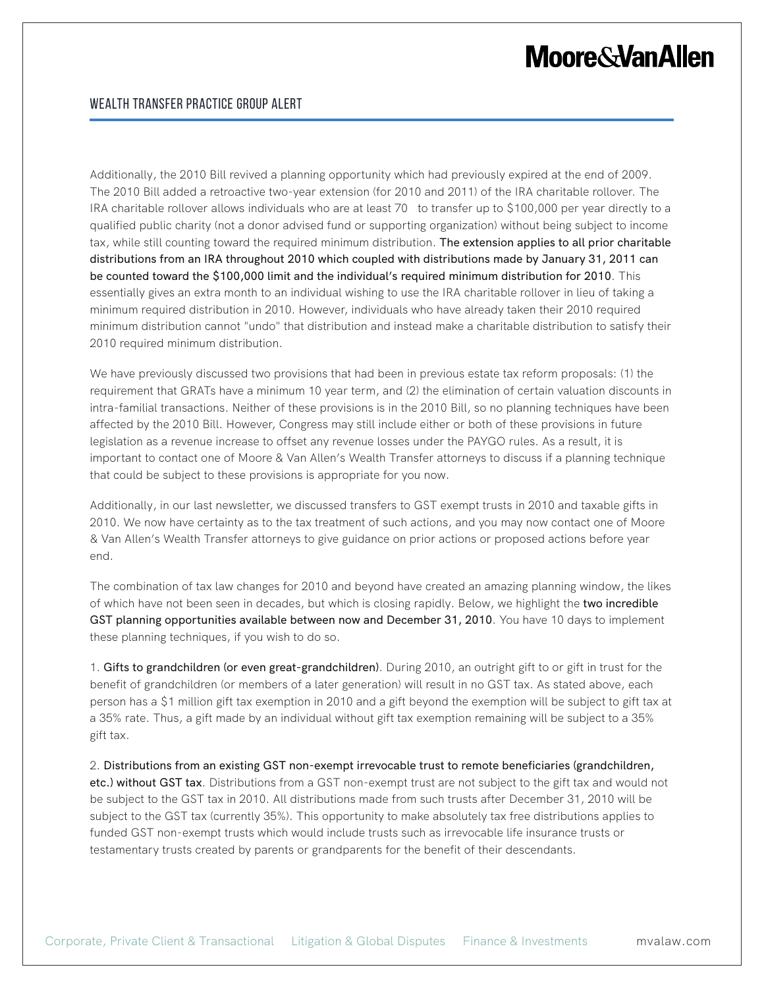### **Moore & Van Allen**

Additionally, the 2010 Bill revived a planning opportunity which had previously expired at the end of 2009. The 2010 Bill added a retroactive two-year extension (for 2010 and 2011) of the IRA charitable rollover. The IRA charitable rollover allows individuals who are at least 70 to transfer up to \$100,000 per year directly to a qualified public charity (not a donor advised fund or supporting organization) without being subject to income tax, while still counting toward the required minimum distribution. The extension applies to all prior charitable distributions from an IRA throughout 2010 which coupled with distributions made by January 31, 2011 can be counted toward the \$100,000 limit and the individual's required minimum distribution for 2010. This essentially gives an extra month to an individual wishing to use the IRA charitable rollover in lieu of taking a minimum required distribution in 2010. However, individuals who have already taken their 2010 required minimum distribution cannot "undo" that distribution and instead make a charitable distribution to satisfy their 2010 required minimum distribution.

We have previously discussed two provisions that had been in previous estate tax reform proposals: (1) the requirement that GRATs have a minimum 10 year term, and (2) the elimination of certain valuation discounts in intra-familial transactions. Neither of these provisions is in the 2010 Bill, so no planning techniques have been affected by the 2010 Bill. However, Congress may still include either or both of these provisions in future legislation as a revenue increase to offset any revenue losses under the PAYGO rules. As a result, it is important to contact one of Moore & Van Allen's Wealth Transfer attorneys to discuss if a planning technique that could be subject to these provisions is appropriate for you now.

Additionally, in our last newsletter, we discussed transfers to GST exempt trusts in 2010 and taxable gifts in 2010. We now have certainty as to the tax treatment of such actions, and you may now contact one of Moore & Van Allen's Wealth Transfer attorneys to give guidance on prior actions or proposed actions before year end.

The combination of tax law changes for 2010 and beyond have created an amazing planning window, the likes of which have not been seen in decades, but which is closing rapidly. Below, we highlight the two incredible GST planning opportunities available between now and December 31, 2010. You have 10 days to implement these planning techniques, if you wish to do so.

1. Gifts to grandchildren (or even great-grandchildren). During 2010, an outright gift to or gift in trust for the benefit of grandchildren (or members of a later generation) will result in no GST tax. As stated above, each person has a \$1 million gift tax exemption in 2010 and a gift beyond the exemption will be subject to gift tax at a 35% rate. Thus, a gift made by an individual without gift tax exemption remaining will be subject to a 35% gift tax.

2. Distributions from an existing GST non-exempt irrevocable trust to remote beneficiaries (grandchildren, etc.) without GST tax. Distributions from a GST non-exempt trust are not subject to the gift tax and would not be subject to the GST tax in 2010. All distributions made from such trusts after December 31, 2010 will be subject to the GST tax (currently 35%). This opportunity to make absolutely tax free distributions applies to funded GST non-exempt trusts which would include trusts such as irrevocable life insurance trusts or testamentary trusts created by parents or grandparents for the benefit of their descendants.